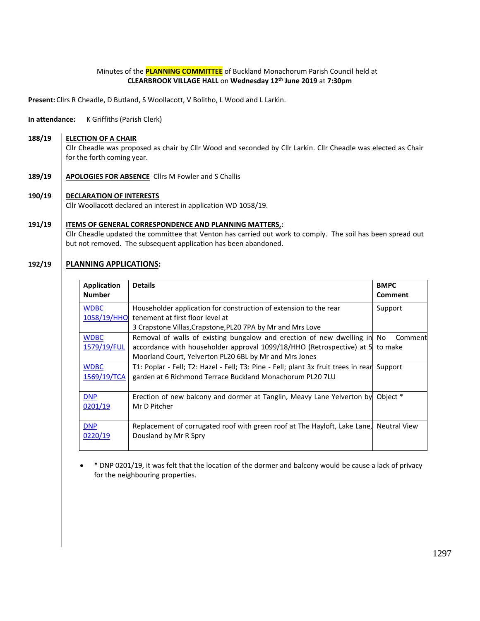### Minutes of the **PLANNING COMMITTEE** of Buckland Monachorum Parish Council held at **CLEARBROOK VILLAGE HALL** on **Wednesday 12th June 2019** at **7:30pm**

**Present:** Cllrs R Cheadle, D Butland, S Woollacott, V Bolitho, L Wood and L Larkin.

**In attendance:** K Griffiths (Parish Clerk)

**188/19 ELECTION OF A CHAIR**

> Cllr Cheadle was proposed as chair by Cllr Wood and seconded by Cllr Larkin. Cllr Cheadle was elected as Chair for the forth coming year.

- **189/19 APOLOGIES FOR ABSENCE** Cllrs M Fowler and S Challis
- **190/19 DECLARATION OF INTERESTS**

Cllr Woollacott declared an interest in application WD 1058/19.

### **191/19 ITEMS OF GENERAL CORRESPONDENCE AND PLANNING MATTERS,:** Cllr Cheadle updated the committee that Venton has carried out work to comply. The soil has been spread out

but not removed. The subsequent application has been abandoned.

#### **192/19 PLANNING APPLICATIONS:**

| <b>Application</b><br><b>Number</b> | <b>Details</b>                                                                                                                                                                                                                                                                    | <b>BMPC</b><br><b>Comment</b> |
|-------------------------------------|-----------------------------------------------------------------------------------------------------------------------------------------------------------------------------------------------------------------------------------------------------------------------------------|-------------------------------|
| <b>WDBC</b>                         | Householder application for construction of extension to the rear<br>1058/19/HHO tenement at first floor level at                                                                                                                                                                 | Support                       |
| <b>WDBC</b><br>1579/19/FUL          | 3 Crapstone Villas, Crapstone, PL20 7PA by Mr and Mrs Love<br>Removal of walls of existing bungalow and erection of new dwelling in No<br>accordance with householder approval 1099/18/HHO (Retrospective) at 5 to make<br>Moorland Court, Yelverton PL20 6BL by Mr and Mrs Jones | Comment                       |
| <b>WDBC</b><br>1569/19/TCA          | T1: Poplar - Fell; T2: Hazel - Fell; T3: Pine - Fell; plant 3x fruit trees in rear<br>garden at 6 Richmond Terrace Buckland Monachorum PL20 7LU                                                                                                                                   | Support                       |
| <b>DNP</b><br>0201/19               | Erection of new balcony and dormer at Tanglin, Meavy Lane Yelverton by<br>Mr D Pitcher                                                                                                                                                                                            | Object *                      |
| <b>DNP</b><br>0220/19               | Replacement of corrugated roof with green roof at The Hayloft, Lake Lane,<br>Dousland by Mr R Spry                                                                                                                                                                                | <b>Neutral View</b>           |

• \* DNP 0201/19, it was felt that the location of the dormer and balcony would be cause a lack of privacy for the neighbouring properties.